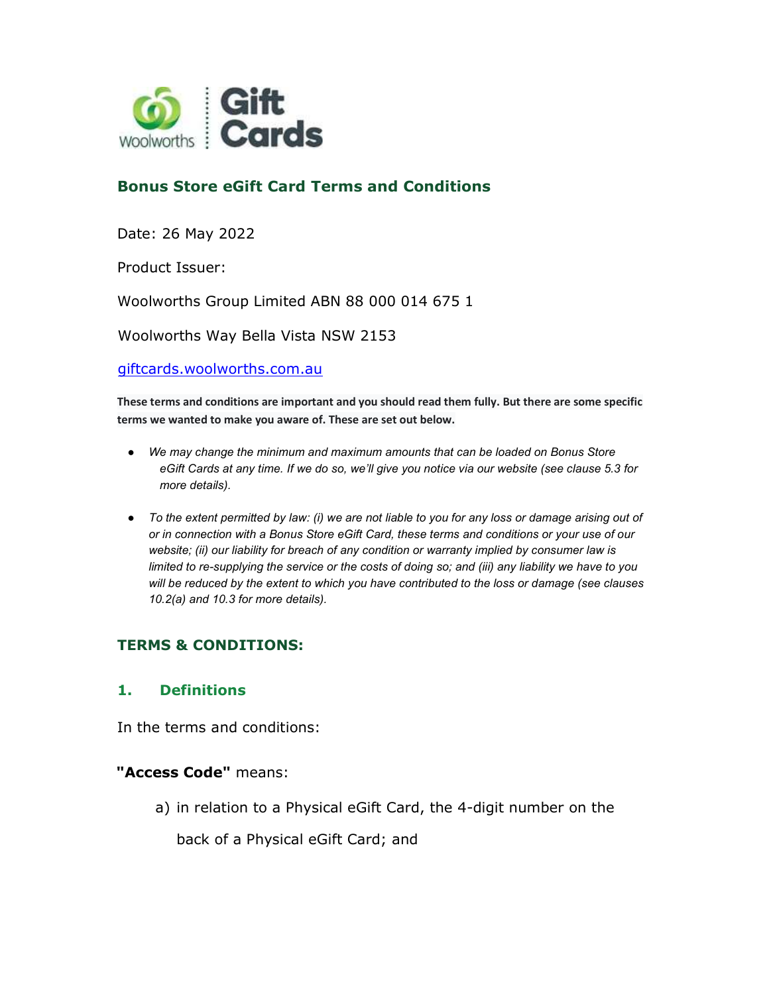

# Bonus Store eGift Card Terms and Conditions

Date: 26 May 2022

Product Issuer:

Woolworths Group Limited ABN 88 000 014 675 1

Woolworths Way Bella Vista NSW 2153

giftcards.woolworths.com.au

These terms and conditions are important and you should read them fully. But there are some specific terms we wanted to make you aware of. These are set out below.

- We may change the minimum and maximum amounts that can be loaded on Bonus Store eGift Cards at any time. If we do so, we'll give you notice via our website (see clause 5.3 for more details).
- To the extent permitted by law: (i) we are not liable to you for any loss or damage arising out of or in connection with a Bonus Store eGift Card, these terms and conditions or your use of our website; (ii) our liability for breach of any condition or warranty implied by consumer law is limited to re-supplying the service or the costs of doing so; and (iii) any liability we have to you will be reduced by the extent to which you have contributed to the loss or damage (see clauses 10.2(a) and 10.3 for more details).

### TERMS & CONDITIONS:

#### 1. Definitions

In the terms and conditions:

#### "Access Code" means:

a) in relation to a Physical eGift Card, the 4-digit number on the

back of a Physical eGift Card; and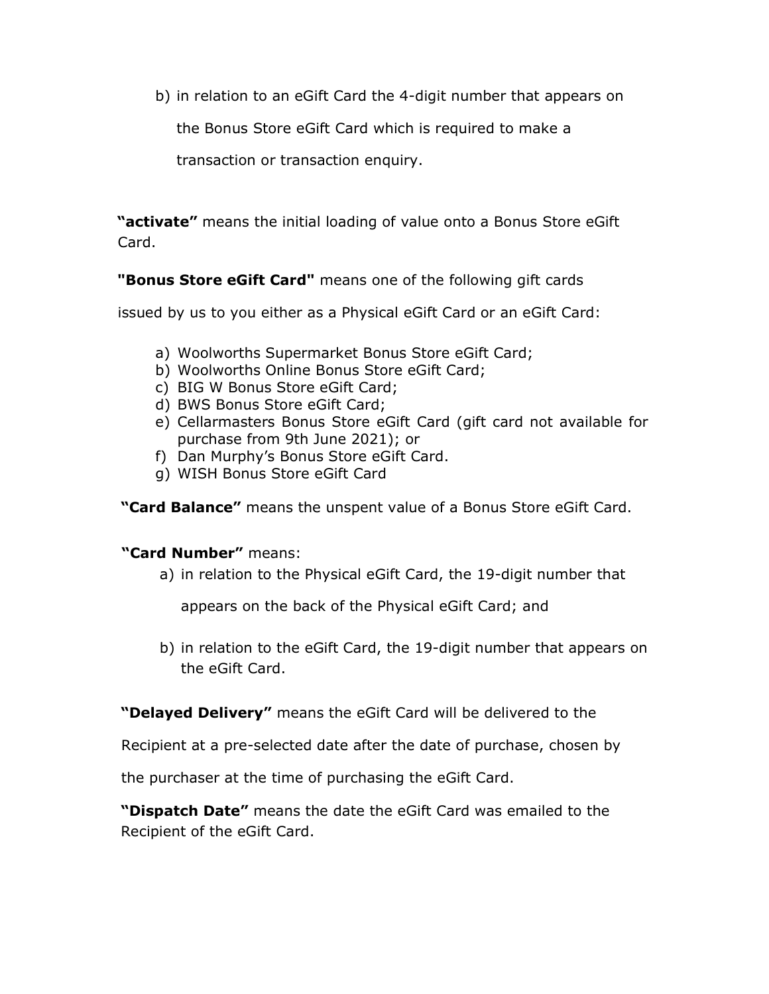b) in relation to an eGift Card the 4-digit number that appears on

the Bonus Store eGift Card which is required to make a

transaction or transaction enquiry.

"**activate"** means the initial loading of value onto a Bonus Store eGift Card.

"Bonus Store eGift Card" means one of the following gift cards

issued by us to you either as a Physical eGift Card or an eGift Card:

- a) Woolworths Supermarket Bonus Store eGift Card;
- b) Woolworths Online Bonus Store eGift Card;
- c) BIG W Bonus Store eGift Card;
- d) BWS Bonus Store eGift Card;
- e) Cellarmasters Bonus Store eGift Card (gift card not available for purchase from 9th June 2021); or
- f) Dan Murphy's Bonus Store eGift Card.
- g) WISH Bonus Store eGift Card

"Card Balance" means the unspent value of a Bonus Store eGift Card.

#### "Card Number" means:

a) in relation to the Physical eGift Card, the 19-digit number that

appears on the back of the Physical eGift Card; and

b) in relation to the eGift Card, the 19-digit number that appears on the eGift Card.

"Delayed Delivery" means the eGift Card will be delivered to the

Recipient at a pre-selected date after the date of purchase, chosen by

the purchaser at the time of purchasing the eGift Card.

"Dispatch Date" means the date the eGift Card was emailed to the Recipient of the eGift Card.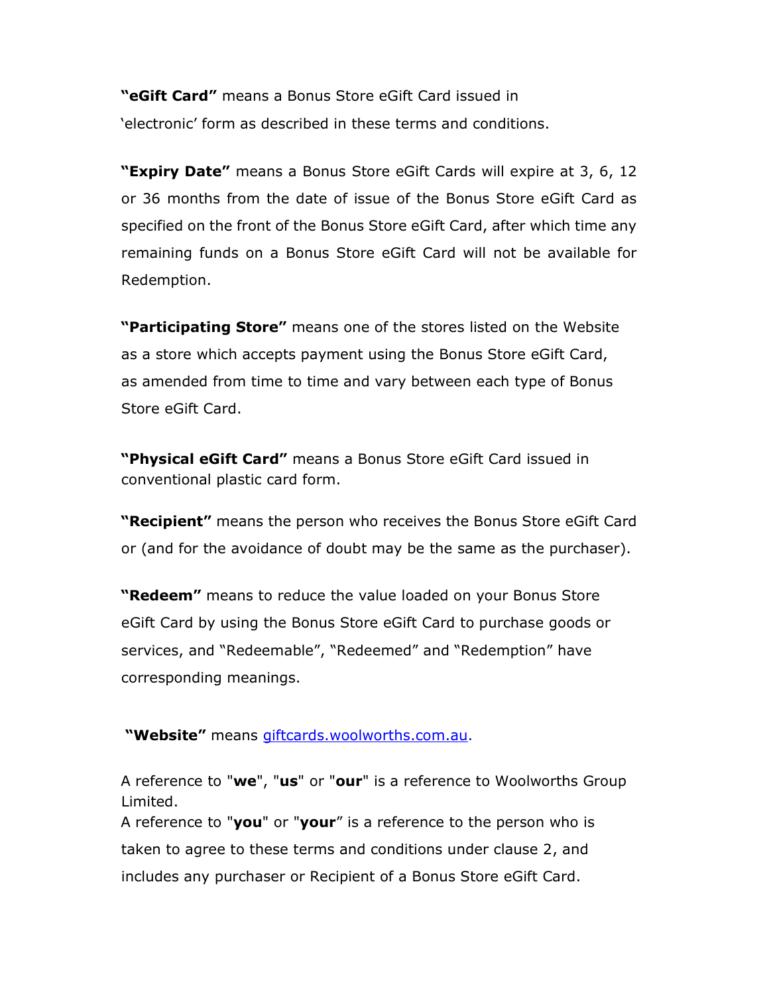"eGift Card" means a Bonus Store eGift Card issued in 'electronic' form as described in these terms and conditions.

"Expiry Date" means a Bonus Store eGift Cards will expire at 3, 6, 12 or 36 months from the date of issue of the Bonus Store eGift Card as specified on the front of the Bonus Store eGift Card, after which time any remaining funds on a Bonus Store eGift Card will not be available for Redemption.

"Participating Store" means one of the stores listed on the Website as a store which accepts payment using the Bonus Store eGift Card, as amended from time to time and vary between each type of Bonus Store eGift Card.

"Physical eGift Card" means a Bonus Store eGift Card issued in conventional plastic card form.

"Recipient" means the person who receives the Bonus Store eGift Card or (and for the avoidance of doubt may be the same as the purchaser).

"Redeem" means to reduce the value loaded on your Bonus Store eGift Card by using the Bonus Store eGift Card to purchase goods or services, and "Redeemable", "Redeemed" and "Redemption" have corresponding meanings.

"Website" means giftcards.woolworths.com.au.

A reference to "we", "us" or "our" is a reference to Woolworths Group Limited.

A reference to "you" or "your" is a reference to the person who is taken to agree to these terms and conditions under clause 2, and includes any purchaser or Recipient of a Bonus Store eGift Card.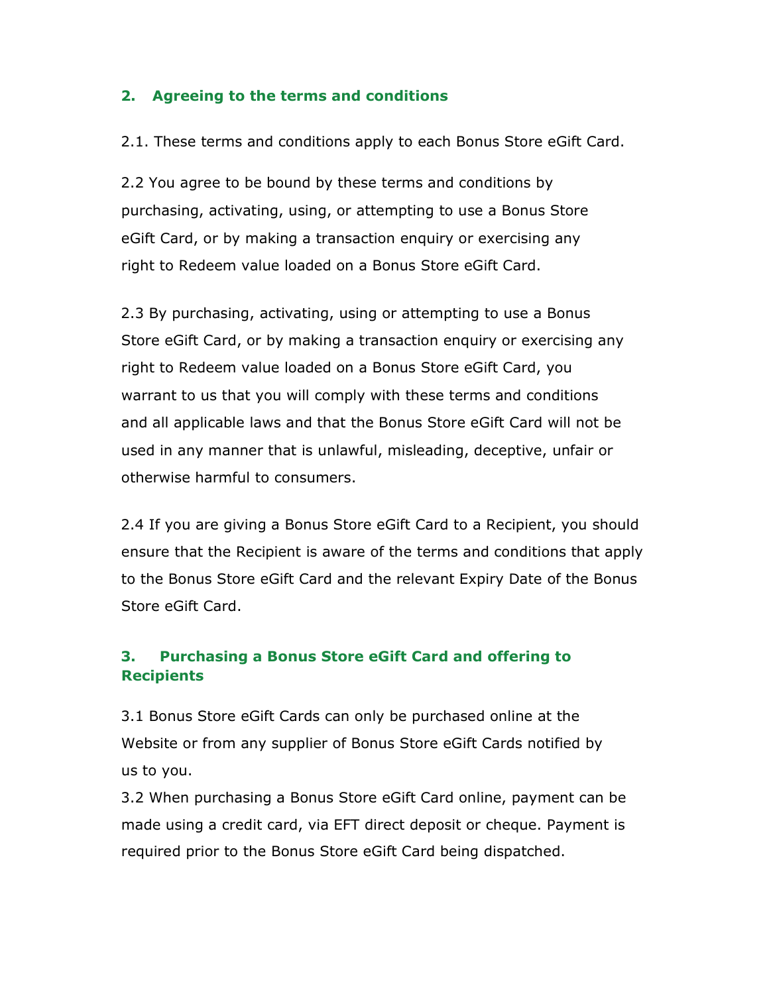#### 2. Agreeing to the terms and conditions

2.1. These terms and conditions apply to each Bonus Store eGift Card.

2.2 You agree to be bound by these terms and conditions by purchasing, activating, using, or attempting to use a Bonus Store eGift Card, or by making a transaction enquiry or exercising any right to Redeem value loaded on a Bonus Store eGift Card.

2.3 By purchasing, activating, using or attempting to use a Bonus Store eGift Card, or by making a transaction enquiry or exercising any right to Redeem value loaded on a Bonus Store eGift Card, you warrant to us that you will comply with these terms and conditions and all applicable laws and that the Bonus Store eGift Card will not be used in any manner that is unlawful, misleading, deceptive, unfair or otherwise harmful to consumers.

2.4 If you are giving a Bonus Store eGift Card to a Recipient, you should ensure that the Recipient is aware of the terms and conditions that apply to the Bonus Store eGift Card and the relevant Expiry Date of the Bonus Store eGift Card.

## 3. Purchasing a Bonus Store eGift Card and offering to **Recipients**

3.1 Bonus Store eGift Cards can only be purchased online at the Website or from any supplier of Bonus Store eGift Cards notified by us to you.

3.2 When purchasing a Bonus Store eGift Card online, payment can be made using a credit card, via EFT direct deposit or cheque. Payment is required prior to the Bonus Store eGift Card being dispatched.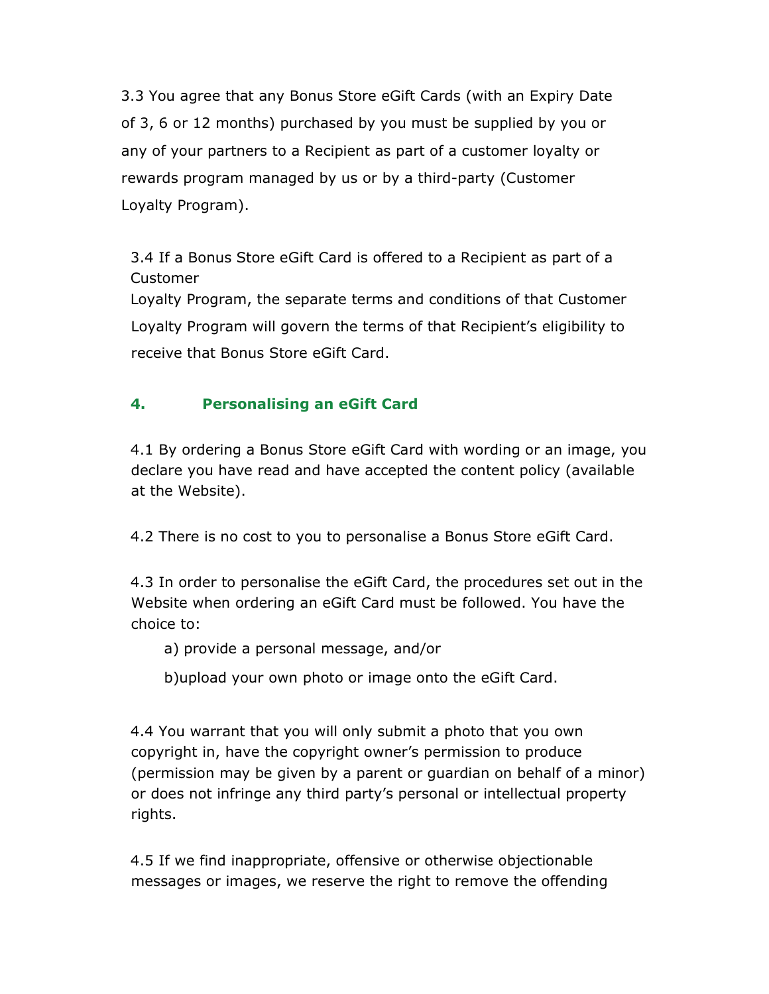3.3 You agree that any Bonus Store eGift Cards (with an Expiry Date of 3, 6 or 12 months) purchased by you must be supplied by you or any of your partners to a Recipient as part of a customer loyalty or rewards program managed by us or by a third-party (Customer Loyalty Program).

3.4 If a Bonus Store eGift Card is offered to a Recipient as part of a Customer Loyalty Program, the separate terms and conditions of that Customer Loyalty Program will govern the terms of that Recipient's eligibility to receive that Bonus Store eGift Card.

# 4. Personalising an eGift Card

4.1 By ordering a Bonus Store eGift Card with wording or an image, you declare you have read and have accepted the content policy (available at the Website).

4.2 There is no cost to you to personalise a Bonus Store eGift Card.

4.3 In order to personalise the eGift Card, the procedures set out in the Website when ordering an eGift Card must be followed. You have the choice to:

a) provide a personal message, and/or

b)upload your own photo or image onto the eGift Card.

4.4 You warrant that you will only submit a photo that you own copyright in, have the copyright owner's permission to produce (permission may be given by a parent or guardian on behalf of a minor) or does not infringe any third party's personal or intellectual property rights.

4.5 If we find inappropriate, offensive or otherwise objectionable messages or images, we reserve the right to remove the offending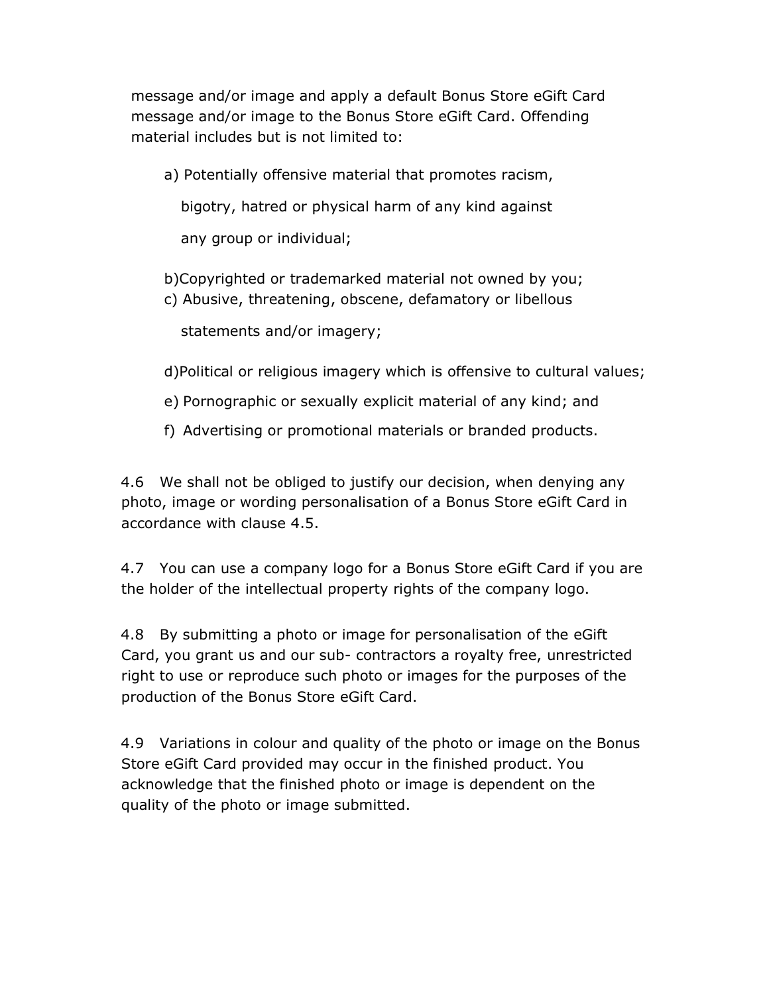message and/or image and apply a default Bonus Store eGift Card message and/or image to the Bonus Store eGift Card. Offending material includes but is not limited to:

a) Potentially offensive material that promotes racism,

bigotry, hatred or physical harm of any kind against

any group or individual;

- b)Copyrighted or trademarked material not owned by you;
- c) Abusive, threatening, obscene, defamatory or libellous

statements and/or imagery;

- d)Political or religious imagery which is offensive to cultural values;
- e) Pornographic or sexually explicit material of any kind; and
- f) Advertising or promotional materials or branded products.

4.6 We shall not be obliged to justify our decision, when denying any photo, image or wording personalisation of a Bonus Store eGift Card in accordance with clause 4.5.

4.7 You can use a company logo for a Bonus Store eGift Card if you are the holder of the intellectual property rights of the company logo.

4.8 By submitting a photo or image for personalisation of the eGift Card, you grant us and our sub- contractors a royalty free, unrestricted right to use or reproduce such photo or images for the purposes of the production of the Bonus Store eGift Card.

4.9 Variations in colour and quality of the photo or image on the Bonus Store eGift Card provided may occur in the finished product. You acknowledge that the finished photo or image is dependent on the quality of the photo or image submitted.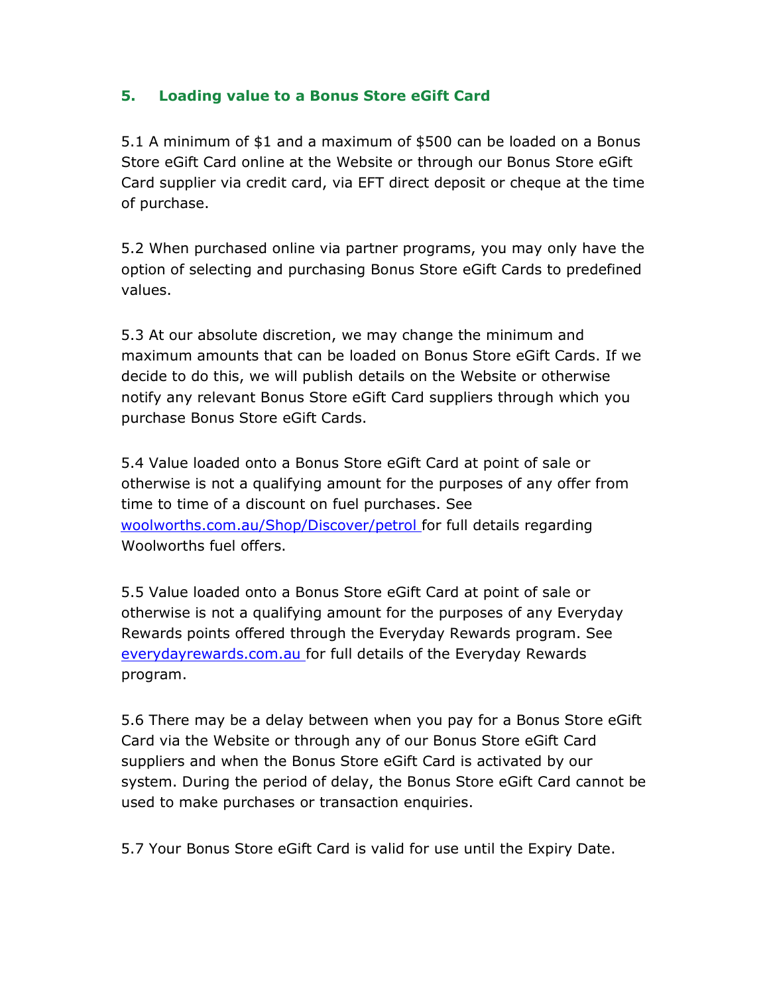## 5. Loading value to a Bonus Store eGift Card

5.1 A minimum of \$1 and a maximum of \$500 can be loaded on a Bonus Store eGift Card online at the Website or through our Bonus Store eGift Card supplier via credit card, via EFT direct deposit or cheque at the time of purchase.

5.2 When purchased online via partner programs, you may only have the option of selecting and purchasing Bonus Store eGift Cards to predefined values.

5.3 At our absolute discretion, we may change the minimum and maximum amounts that can be loaded on Bonus Store eGift Cards. If we decide to do this, we will publish details on the Website or otherwise notify any relevant Bonus Store eGift Card suppliers through which you purchase Bonus Store eGift Cards.

5.4 Value loaded onto a Bonus Store eGift Card at point of sale or otherwise is not a qualifying amount for the purposes of any offer from time to time of a discount on fuel purchases. See woolworths.com.au/Shop/Discover/petrol for full details regarding Woolworths fuel offers.

5.5 Value loaded onto a Bonus Store eGift Card at point of sale or otherwise is not a qualifying amount for the purposes of any Everyday Rewards points offered through the Everyday Rewards program. See everydayrewards.com.au for full details of the Everyday Rewards program.

5.6 There may be a delay between when you pay for a Bonus Store eGift Card via the Website or through any of our Bonus Store eGift Card suppliers and when the Bonus Store eGift Card is activated by our system. During the period of delay, the Bonus Store eGift Card cannot be used to make purchases or transaction enquiries.

5.7 Your Bonus Store eGift Card is valid for use until the Expiry Date.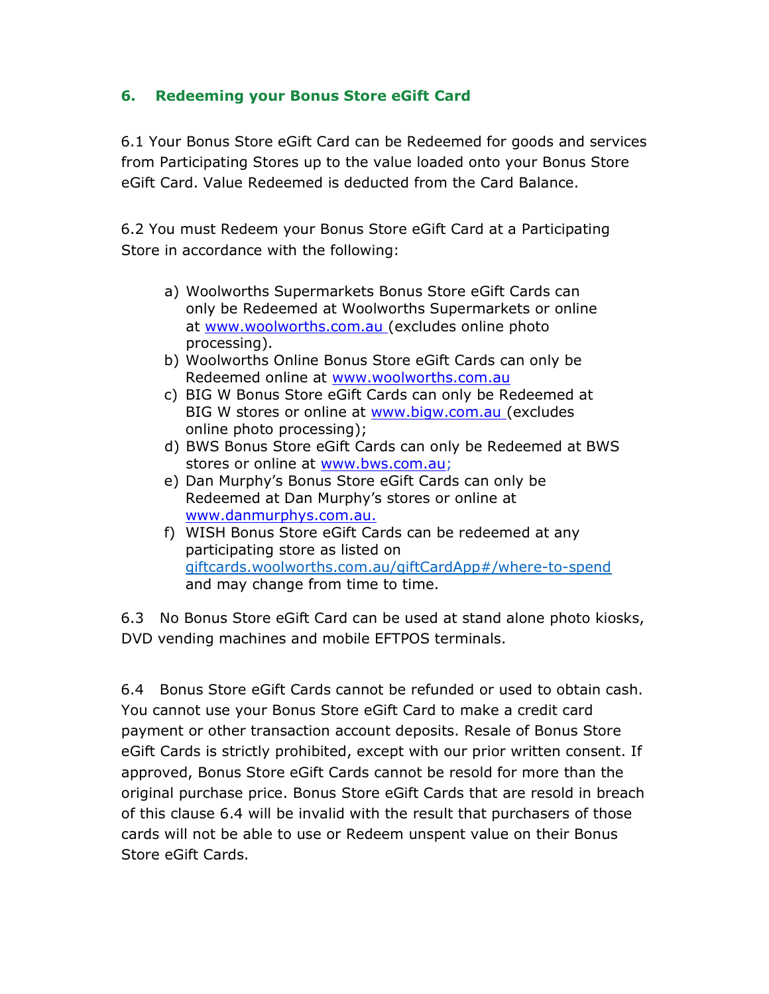## 6. Redeeming your Bonus Store eGift Card

6.1 Your Bonus Store eGift Card can be Redeemed for goods and services from Participating Stores up to the value loaded onto your Bonus Store eGift Card. Value Redeemed is deducted from the Card Balance.

6.2 You must Redeem your Bonus Store eGift Card at a Participating Store in accordance with the following:

- a) Woolworths Supermarkets Bonus Store eGift Cards can only be Redeemed at Woolworths Supermarkets or online at www.woolworths.com.au (excludes online photo processing).
- b) Woolworths Online Bonus Store eGift Cards can only be Redeemed online at www.woolworths.com.au
- c) BIG W Bonus Store eGift Cards can only be Redeemed at BIG W stores or online at www.bigw.com.au (excludes online photo processing);
- d) BWS Bonus Store eGift Cards can only be Redeemed at BWS stores or online at www.bws.com.au;
- e) Dan Murphy's Bonus Store eGift Cards can only be Redeemed at Dan Murphy's stores or online at www.danmurphys.com.au.
- f) WISH Bonus Store eGift Cards can be redeemed at any participating store as listed on giftcards.woolworths.com.au/giftCardApp#/where-to-spend and may change from time to time.

6.3 No Bonus Store eGift Card can be used at stand alone photo kiosks, DVD vending machines and mobile EFTPOS terminals.

6.4 Bonus Store eGift Cards cannot be refunded or used to obtain cash. You cannot use your Bonus Store eGift Card to make a credit card payment or other transaction account deposits. Resale of Bonus Store eGift Cards is strictly prohibited, except with our prior written consent. If approved, Bonus Store eGift Cards cannot be resold for more than the original purchase price. Bonus Store eGift Cards that are resold in breach of this clause 6.4 will be invalid with the result that purchasers of those cards will not be able to use or Redeem unspent value on their Bonus Store eGift Cards.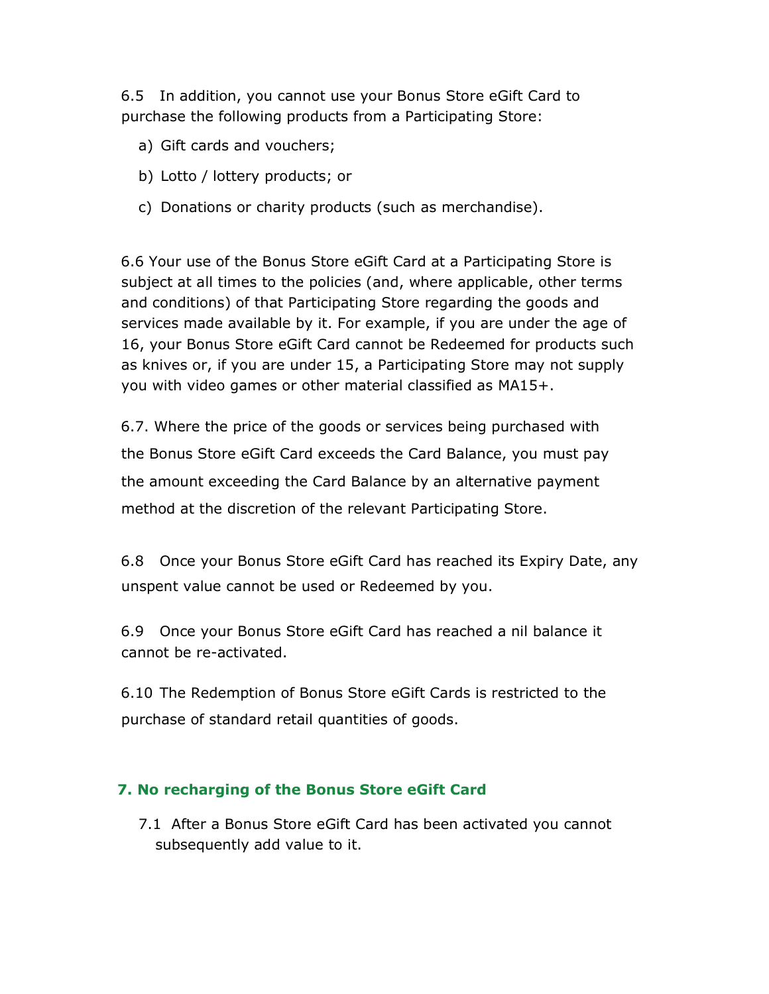6.5 In addition, you cannot use your Bonus Store eGift Card to purchase the following products from a Participating Store:

- a) Gift cards and vouchers;
- b) Lotto / lottery products; or
- c) Donations or charity products (such as merchandise).

6.6 Your use of the Bonus Store eGift Card at a Participating Store is subject at all times to the policies (and, where applicable, other terms and conditions) of that Participating Store regarding the goods and services made available by it. For example, if you are under the age of 16, your Bonus Store eGift Card cannot be Redeemed for products such as knives or, if you are under 15, a Participating Store may not supply you with video games or other material classified as MA15+.

6.7. Where the price of the goods or services being purchased with the Bonus Store eGift Card exceeds the Card Balance, you must pay the amount exceeding the Card Balance by an alternative payment method at the discretion of the relevant Participating Store.

6.8 Once your Bonus Store eGift Card has reached its Expiry Date, any unspent value cannot be used or Redeemed by you.

6.9 Once your Bonus Store eGift Card has reached a nil balance it cannot be re-activated.

6.10 The Redemption of Bonus Store eGift Cards is restricted to the purchase of standard retail quantities of goods.

#### 7. No recharging of the Bonus Store eGift Card

7.1 After a Bonus Store eGift Card has been activated you cannot subsequently add value to it.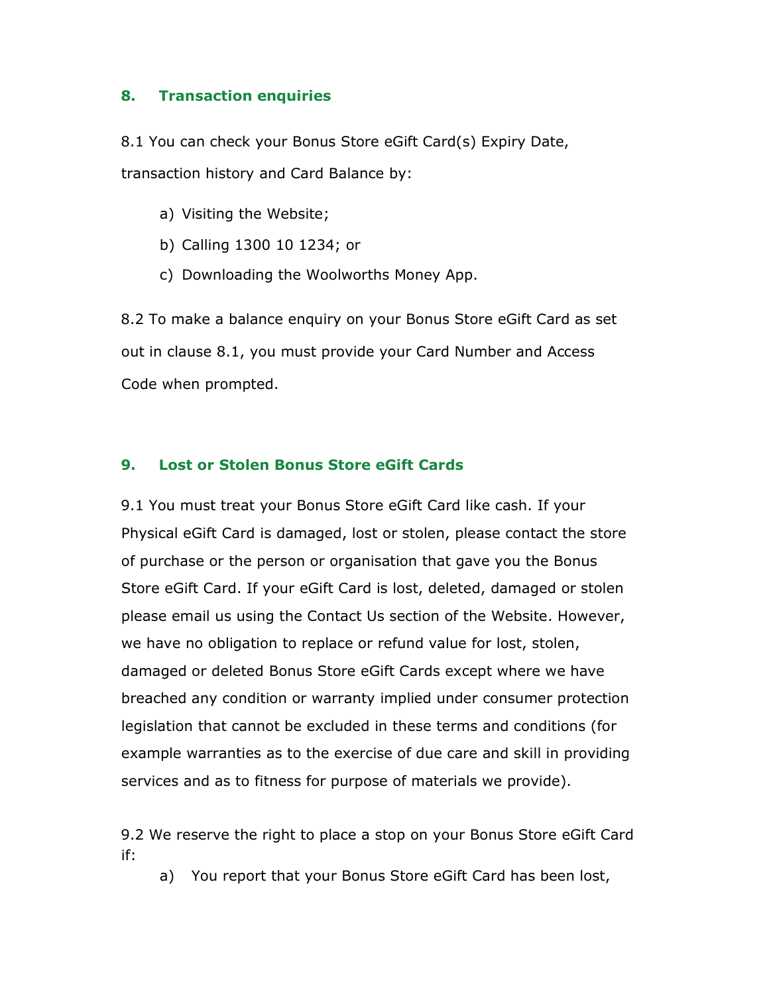#### 8. Transaction enquiries

8.1 You can check your Bonus Store eGift Card(s) Expiry Date, transaction history and Card Balance by:

- a) Visiting the Website;
- b) Calling 1300 10 1234; or
- c) Downloading the Woolworths Money App.

8.2 To make a balance enquiry on your Bonus Store eGift Card as set out in clause 8.1, you must provide your Card Number and Access Code when prompted.

#### 9. Lost or Stolen Bonus Store eGift Cards

9.1 You must treat your Bonus Store eGift Card like cash. If your Physical eGift Card is damaged, lost or stolen, please contact the store of purchase or the person or organisation that gave you the Bonus Store eGift Card. If your eGift Card is lost, deleted, damaged or stolen please email us using the Contact Us section of the Website. However, we have no obligation to replace or refund value for lost, stolen, damaged or deleted Bonus Store eGift Cards except where we have breached any condition or warranty implied under consumer protection legislation that cannot be excluded in these terms and conditions (for example warranties as to the exercise of due care and skill in providing services and as to fitness for purpose of materials we provide).

9.2 We reserve the right to place a stop on your Bonus Store eGift Card if:

a) You report that your Bonus Store eGift Card has been lost,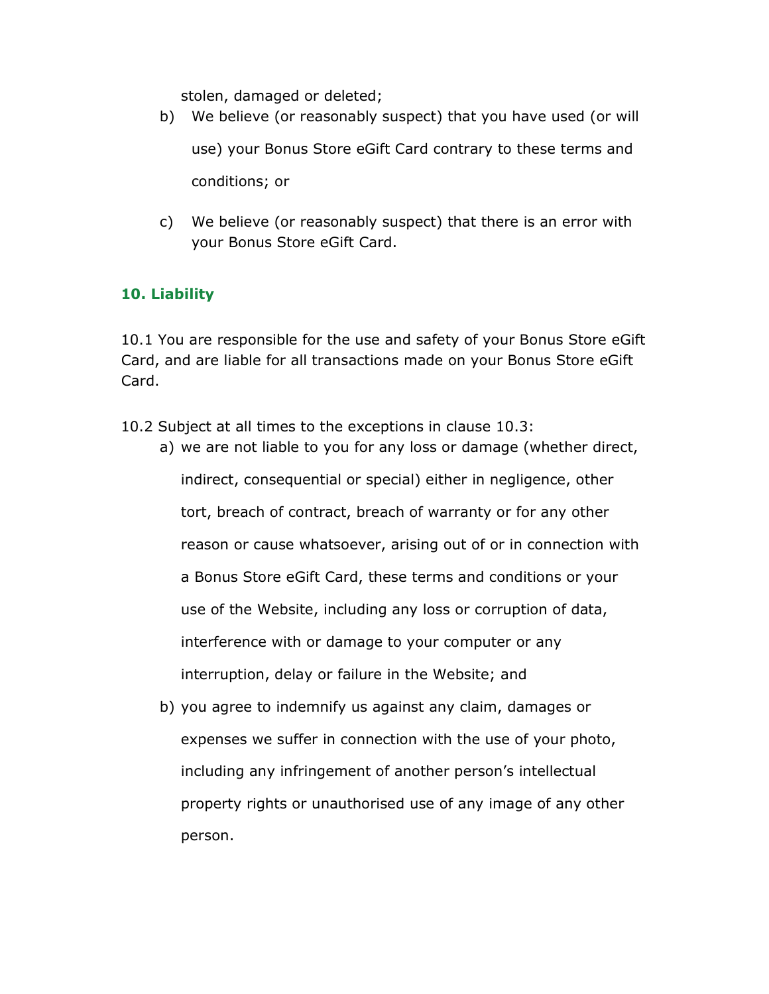stolen, damaged or deleted;

- b) We believe (or reasonably suspect) that you have used (or will use) your Bonus Store eGift Card contrary to these terms and conditions; or
- c) We believe (or reasonably suspect) that there is an error with your Bonus Store eGift Card.

## 10. Liability

10.1 You are responsible for the use and safety of your Bonus Store eGift Card, and are liable for all transactions made on your Bonus Store eGift Card.

- 10.2 Subject at all times to the exceptions in clause 10.3:
	- a) we are not liable to you for any loss or damage (whether direct, indirect, consequential or special) either in negligence, other tort, breach of contract, breach of warranty or for any other reason or cause whatsoever, arising out of or in connection with a Bonus Store eGift Card, these terms and conditions or your use of the Website, including any loss or corruption of data, interference with or damage to your computer or any interruption, delay or failure in the Website; and
	- b) you agree to indemnify us against any claim, damages or expenses we suffer in connection with the use of your photo, including any infringement of another person's intellectual property rights or unauthorised use of any image of any other person.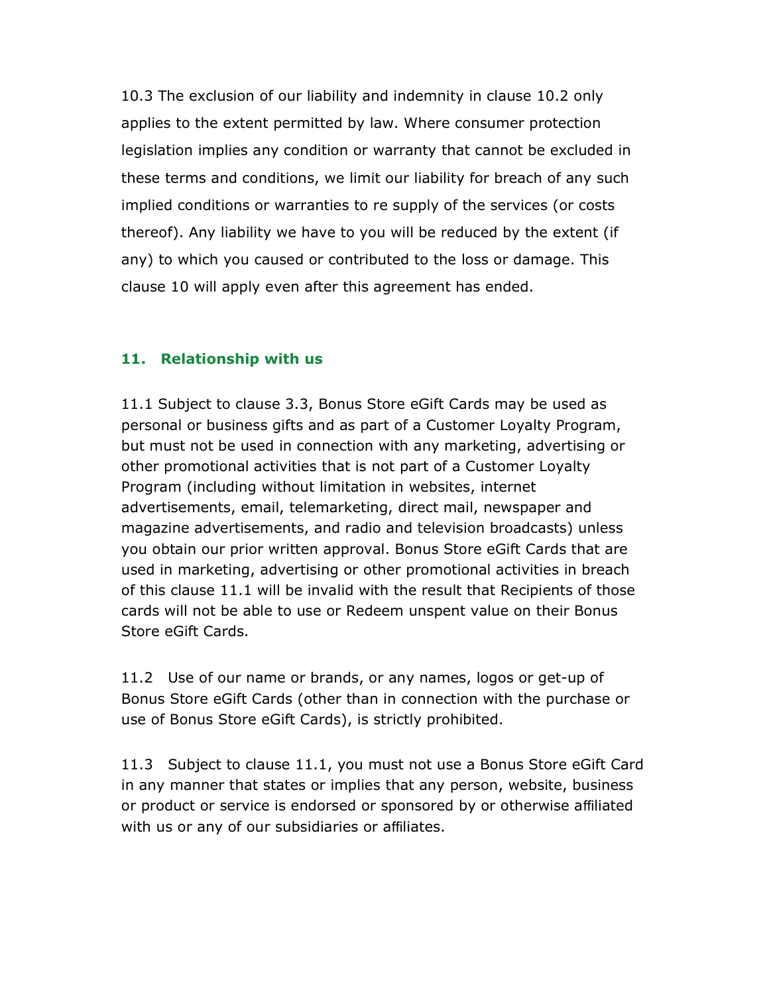10.3 The exclusion of our liability and indemnity in clause 10.2 only applies to the extent permitted by law. Where consumer protection legislation implies any condition or warranty that cannot be excluded in these terms and conditions, we limit our liability for breach of any such implied conditions or warranties to re supply of the services (or costs thereof). Any liability we have to you will be reduced by the extent (if any) to which you caused or contributed to the loss or damage. This clause 10 will apply even after this agreement has ended.

### 11. Relationship with us

11.1 Subject to clause 3.3, Bonus Store eGift Cards may be used as personal or business gifts and as part of a Customer Loyalty Program, but must not be used in connection with any marketing, advertising or other promotional activities that is not part of a Customer Loyalty Program (including without limitation in websites, internet advertisements, email, telemarketing, direct mail, newspaper and magazine advertisements, and radio and television broadcasts) unless you obtain our prior written approval. Bonus Store eGift Cards that are used in marketing, advertising or other promotional activities in breach of this clause 11.1 will be invalid with the result that Recipients of those cards will not be able to use or Redeem unspent value on their Bonus Store eGift Cards.

11.2 Use of our name or brands, or any names, logos or get-up of Bonus Store eGift Cards (other than in connection with the purchase or use of Bonus Store eGift Cards), is strictly prohibited.

11.3 Subject to clause 11.1, you must not use a Bonus Store eGift Card in any manner that states or implies that any person, website, business or product or service is endorsed or sponsored by or otherwise affiliated with us or any of our subsidiaries or affiliates.